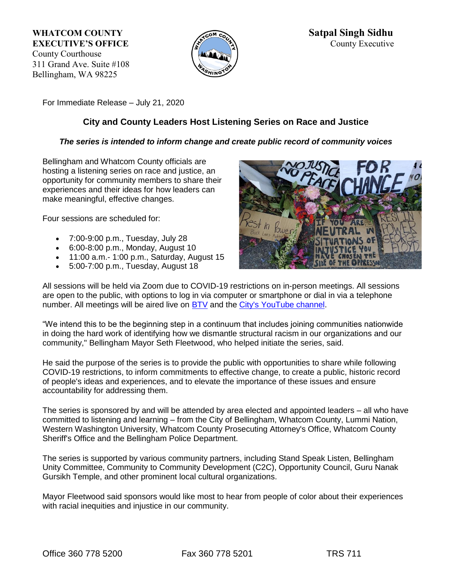311 Grand Ave. Suite #108 Bellingham, WA 98225



For Immediate Release – July 21, 2020

# **City and County Leaders Host Listening Series on Race and Justice**

# *The series is intended to inform change and create public record of community voices*

Bellingham and Whatcom County officials are hosting a listening series on race and justice, an opportunity for community members to share their experiences and their ideas for how leaders can make meaningful, effective changes.

Four sessions are scheduled for:

- 7:00-9:00 p.m., Tuesday, July 28
- 6:00-8:00 p.m., Monday, August 10
- 11:00 a.m.- 1:00 p.m., Saturday, August 15
- 5:00-7:00 p.m., Tuesday, August 18



All sessions will be held via Zoom due to COVID-19 restrictions on in-person meetings. All sessions are open to the public, with options to log in via computer or smartphone or dial in via a telephone number. All meetings will be aired live on **BTV** and the [City's YouTube channel.](https://cob.us10.list-manage.com/track/click?u=65777a3ff693f204165c41504&id=4e3310c774&e=d4ea7f8b0c)

"We intend this to be the beginning step in a continuum that includes joining communities nationwide in doing the hard work of identifying how we dismantle structural racism in our organizations and our community," Bellingham Mayor Seth Fleetwood, who helped initiate the series, said.

He said the purpose of the series is to provide the public with opportunities to share while following COVID-19 restrictions, to inform commitments to effective change, to create a public, historic record of people's ideas and experiences, and to elevate the importance of these issues and ensure accountability for addressing them.

The series is sponsored by and will be attended by area elected and appointed leaders – all who have committed to listening and learning – from the City of Bellingham, Whatcom County, Lummi Nation, Western Washington University, Whatcom County Prosecuting Attorney's Office, Whatcom County Sheriff's Office and the Bellingham Police Department.

The series is supported by various community partners, including Stand Speak Listen, Bellingham Unity Committee, Community to Community Development (C2C), Opportunity Council, Guru Nanak Gursikh Temple, and other prominent local cultural organizations.

Mayor Fleetwood said sponsors would like most to hear from people of color about their experiences with racial inequities and injustice in our community.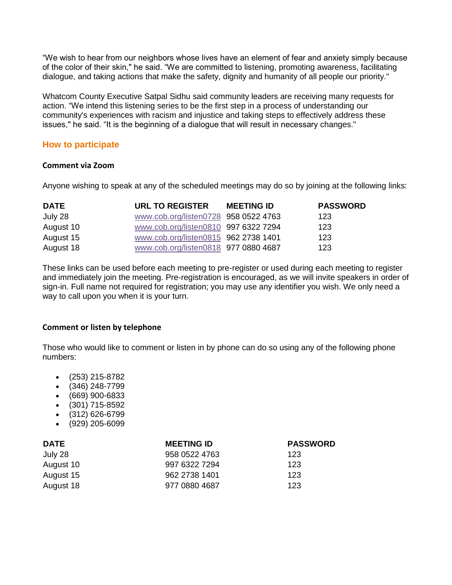"We wish to hear from our neighbors whose lives have an element of fear and anxiety simply because of the color of their skin," he said. "We are committed to listening, promoting awareness, facilitating dialogue, and taking actions that make the safety, dignity and humanity of all people our priority."

Whatcom County Executive Satpal Sidhu said community leaders are receiving many requests for action. "We intend this listening series to be the first step in a process of understanding our community's experiences with racism and injustice and taking steps to effectively address these issues," he said. "It is the beginning of a dialogue that will result in necessary changes."

# **How to participate**

### **Comment via Zoom**

Anyone wishing to speak at any of the scheduled meetings may do so by joining at the following links:

| <b>DATE</b> | URL TO REGISTER                      | <b>MEETING ID</b> | <b>PASSWORD</b> |
|-------------|--------------------------------------|-------------------|-----------------|
| July 28     | www.cob.org/listen0728 958 0522 4763 |                   | 123             |
| August 10   | www.cob.org/listen0810 997 6322 7294 |                   | 123             |
| August 15   | www.cob.org/listen0815 962 2738 1401 |                   | 123             |
| August 18   | www.cob.org/listen0818 977 0880 4687 |                   | 123             |

These links can be used before each meeting to pre-register or used during each meeting to register and immediately join the meeting. Pre-registration is encouraged, as we will invite speakers in order of sign-in. Full name not required for registration; you may use any identifier you wish. We only need a way to call upon you when it is your turn.

### **Comment or listen by telephone**

Those who would like to comment or listen in by phone can do so using any of the following phone numbers:

- (253) 215-8782
- (346) 248-7799
- (669) 900-6833
- (301) 715-8592
- (312) 626-6799
- (929) 205-6099

| <b>DATE</b> | <b>MEETING ID</b> | <b>PASSWORD</b> |
|-------------|-------------------|-----------------|
| July 28     | 958 0522 4763     | 123             |
| August 10   | 997 6322 7294     | 123             |
| August 15   | 962 2738 1401     | 123             |
| August 18   | 977 0880 4687     | 123             |